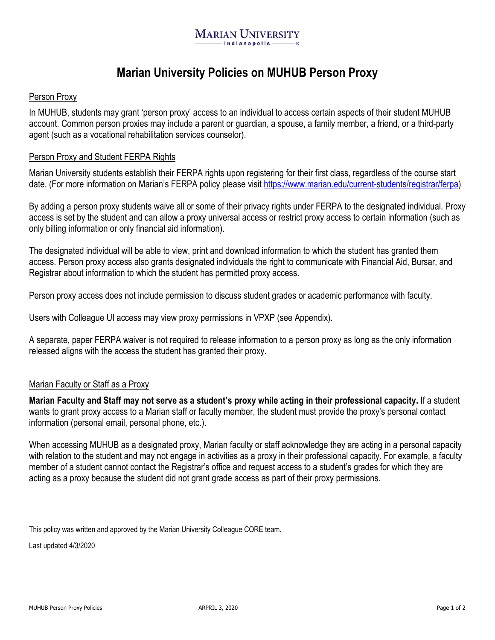# **Marian University Policies on MUHUB Person Proxy**

### Person Proxy

In MUHUB, students may grant 'person proxy' access to an individual to access certain aspects of their student MUHUB account. Common person proxies may include a parent or guardian, a spouse, a family member, a friend, or a third-party agent (such as a vocational rehabilitation services counselor).

#### Person Proxy and Student FERPA Rights

Marian University students establish their FERPA rights upon registering for their first class, regardless of the course start date. (For more information on Marian's FERPA policy please visit [https://www.marian.edu/current-students/registrar/ferpa\)](https://www.marian.edu/current-students/registrar/ferpa)

By adding a person proxy students waive all or some of their privacy rights under FERPA to the designated individual. Proxy access is set by the student and can allow a proxy universal access or restrict proxy access to certain information (such as only billing information or only financial aid information).

The designated individual will be able to view, print and download information to which the student has granted them access. Person proxy access also grants designated individuals the right to communicate with Financial Aid, Bursar, and Registrar about information to which the student has permitted proxy access.

Person proxy access does not include permission to discuss student grades or academic performance with faculty.

Users with Colleague UI access may view proxy permissions in VPXP (see Appendix).

A separate, paper FERPA waiver is not required to release information to a person proxy as long as the only information released aligns with the access the student has granted their proxy.

## Marian Faculty or Staff as a Proxy

**Marian Faculty and Staff may not serve as a student's proxy while acting in their professional capacity.** If a student wants to grant proxy access to a Marian staff or faculty member, the student must provide the proxy's personal contact information (personal email, personal phone, etc.).

When accessing MUHUB as a designated proxy, Marian faculty or staff acknowledge they are acting in a personal capacity with relation to the student and may not engage in activities as a proxy in their professional capacity. For example, a faculty member of a student cannot contact the Registrar's office and request access to a student's grades for which they are acting as a proxy because the student did not grant grade access as part of their proxy permissions.

This policy was written and approved by the Marian University Colleague CORE team.

Last updated 4/3/2020